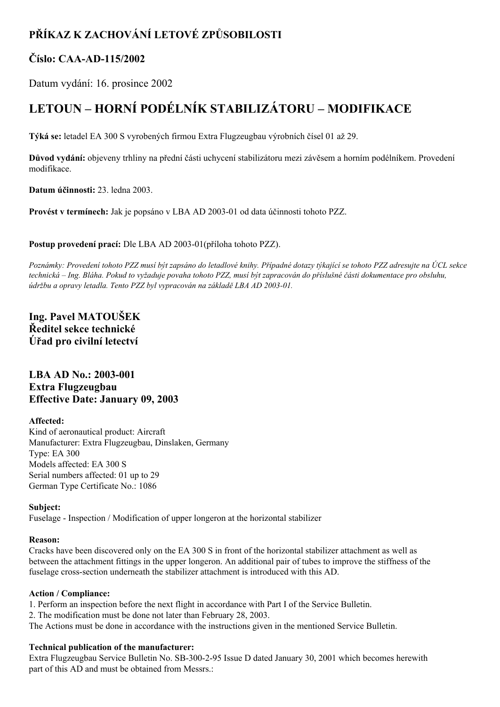## **PŘÍKAZ K ZACHOVÁNÍ LETOVÉ ZPŮSOBILOSTI**

## **Číslo: CAAAD115/2002**

Datum vydání: 16. prosince 2002

# **LETOUN – HORNÍ PODÉLNÍK STABILIZÁTORU – MODIFIKACE**

**Týká se:** letadel EA 300 S vyrobených firmou Extra Flugzeugbau výrobních čísel 01 až 29.

**Důvod vydání:** objeveny trhliny na přední části uchycení stabilizátoru mezi závěsem a horním podélníkem. Provedení modifikace.

**Datum účinnosti:** 23. ledna 2003.

**Provést v termínech:** Jak je popsáno v LBA AD 2003-01 od data účinnosti tohoto PZZ.

**Postup provedení prací:** Dle LBA AD 2003-01(příloha tohoto PZZ).

Poznámky: Provedení tohoto PZZ musí být zapsáno do letadlové knihy. Případné dotazy týkající se tohoto PZZ adresujte na ÚCL sekce technická – Ing. Bláha. Pokud to vyžaduje povaha tohoto PZZ, musí být zapracován do příslušné části dokumentace pro obsluhu, *údržbu a opravy letadla. Tento PZZ byl vypracován na základě LBA AD 2003-01.* 

**Ing. Pavel MATOUŠEK Ředitel sekce technické Úřad pro civilní letectví**

### **LBA AD No.:** 2003-001 **Extra Flugzeugbau Effective Date: January 09, 2003**

#### **Affected:**

Kind of aeronautical product: Aircraft Manufacturer: Extra Flugzeugbau, Dinslaken, Germany Type: EA 300 Models affected: EA 300 S Serial numbers affected: 01 up to 29 German Type Certificate No.: 1086

#### **Subject:**

Fuselage - Inspection / Modification of upper longeron at the horizontal stabilizer

#### **Reason:**

Cracks have been discovered only on the EA 300 S in front of the horizontal stabilizer attachment as well as between the attachment fittings in the upper longeron. An additional pair of tubes to improve the stiffness of the fuselage crosssection underneath the stabilizer attachment is introduced with this AD.

#### **Action / Compliance:**

1. Perform an inspection before the next flight in accordance with Part I of the Service Bulletin.

2. The modification must be done not later than February 28, 2003.

The Actions must be done in accordance with the instructions given in the mentioned Service Bulletin.

#### **Technical publication of the manufacturer:**

Extra Flugzeugbau Service Bulletin No. SB-300-2-95 Issue D dated January 30, 2001 which becomes herewith part of this AD and must be obtained from Messrs.: